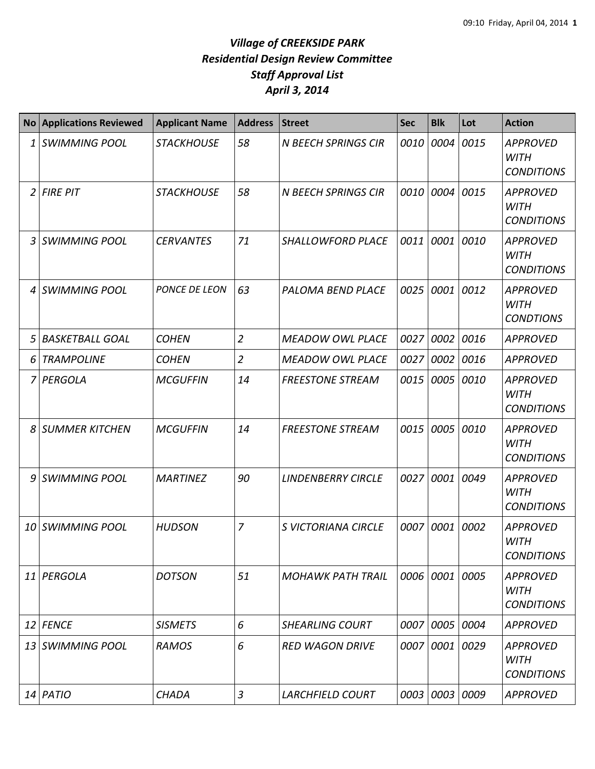| No | <b>Applications Reviewed</b> | <b>Applicant Name</b> | <b>Address</b> | <b>Street</b>              | <b>Sec</b> | <b>Blk</b> | Lot  | <b>Action</b>                                       |
|----|------------------------------|-----------------------|----------------|----------------------------|------------|------------|------|-----------------------------------------------------|
| 1  | <b>SWIMMING POOL</b>         | <b>STACKHOUSE</b>     | 58             | <b>N BEECH SPRINGS CIR</b> | 0010       | 0004       | 0015 | <b>APPROVED</b><br><b>WITH</b><br><b>CONDITIONS</b> |
|    | $2$ FIRE PIT                 | <b>STACKHOUSE</b>     | 58             | <b>N BEECH SPRINGS CIR</b> | 0010       | 0004       | 0015 | <b>APPROVED</b><br><b>WITH</b><br><b>CONDITIONS</b> |
| 3  | <b>SWIMMING POOL</b>         | <b>CERVANTES</b>      | 71             | SHALLOWFORD PLACE          | 0011       | 0001       | 0010 | <b>APPROVED</b><br><b>WITH</b><br><b>CONDITIONS</b> |
| 4  | <b>SWIMMING POOL</b>         | PONCE DE LEON         | 63             | <b>PALOMA BEND PLACE</b>   | 0025       | 0001       | 0012 | <b>APPROVED</b><br><b>WITH</b><br><b>CONDTIONS</b>  |
| 5  | <b>BASKETBALL GOAL</b>       | <b>COHEN</b>          | $\overline{2}$ | <b>MEADOW OWL PLACE</b>    | 0027       | 0002       | 0016 | <b>APPROVED</b>                                     |
| 6  | <b>TRAMPOLINE</b>            | <b>COHEN</b>          | $\overline{2}$ | <b>MEADOW OWL PLACE</b>    | 0027       | 0002       | 0016 | <b>APPROVED</b>                                     |
| 7  | PERGOLA                      | <b>MCGUFFIN</b>       | 14             | <b>FREESTONE STREAM</b>    | 0015       | 0005       | 0010 | <b>APPROVED</b><br><b>WITH</b><br><b>CONDITIONS</b> |
| 8  | <b>SUMMER KITCHEN</b>        | <b>MCGUFFIN</b>       | 14             | <b>FREESTONE STREAM</b>    | 0015       | 0005       | 0010 | <b>APPROVED</b><br><b>WITH</b><br><b>CONDITIONS</b> |
| 9  | <b>SWIMMING POOL</b>         | <b>MARTINEZ</b>       | 90             | <b>LINDENBERRY CIRCLE</b>  | 0027       | 0001       | 0049 | <b>APPROVED</b><br><b>WITH</b><br><b>CONDITIONS</b> |
| 10 | <b>SWIMMING POOL</b>         | <b>HUDSON</b>         | $\overline{7}$ | <b>S VICTORIANA CIRCLE</b> | 0007       | 0001       | 0002 | <b>APPROVED</b><br><b>WITH</b><br><b>CONDITIONS</b> |
| 11 | PERGOLA                      | <b>DOTSON</b>         | 51             | <b>MOHAWK PATH TRAIL</b>   |            | 0006 0001  | 0005 | <b>APPROVED</b><br><b>WITH</b><br><b>CONDITIONS</b> |
| 12 | <b>FENCE</b>                 | <b>SISMETS</b>        | 6              | <b>SHEARLING COURT</b>     | 0007       | 0005       | 0004 | <b>APPROVED</b>                                     |
|    | 13 SWIMMING POOL             | <b>RAMOS</b>          | 6              | <b>RED WAGON DRIVE</b>     | 0007       | 0001       | 0029 | <b>APPROVED</b><br><b>WITH</b><br><b>CONDITIONS</b> |
|    | 14 PATIO                     | CHADA                 | 3              | <b>LARCHFIELD COURT</b>    |            | 0003 0003  | 0009 | <b>APPROVED</b>                                     |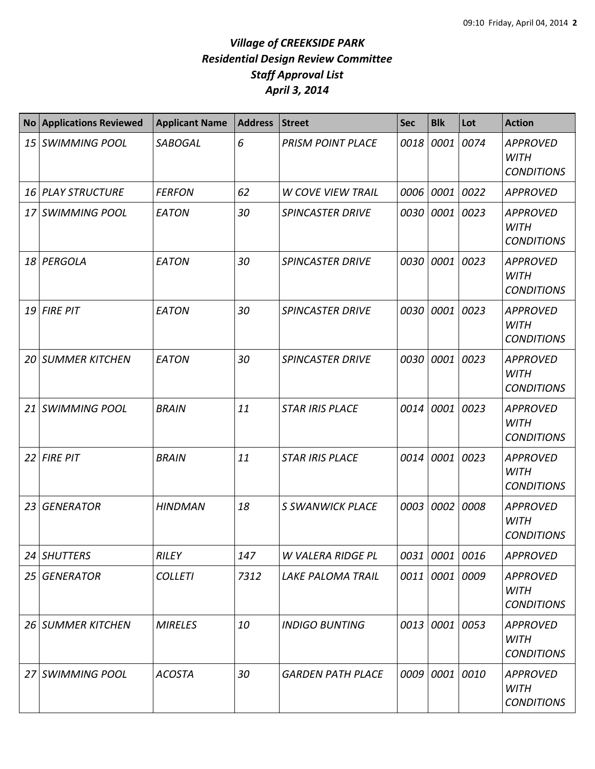| <b>No</b>       | <b>Applications Reviewed</b> | <b>Applicant Name</b> | <b>Address</b> | <b>Street</b>            | <b>Sec</b> | <b>Blk</b>     | Lot       | <b>Action</b>                                       |
|-----------------|------------------------------|-----------------------|----------------|--------------------------|------------|----------------|-----------|-----------------------------------------------------|
| 15 <sup>1</sup> | <b>SWIMMING POOL</b>         | <b>SABOGAL</b>        | 6              | <b>PRISM POINT PLACE</b> | 0018       | 0001 0074      |           | <b>APPROVED</b><br><b>WITH</b><br><b>CONDITIONS</b> |
| 16              | <b>PLAY STRUCTURE</b>        | <b>FERFON</b>         | 62             | <b>W COVE VIEW TRAIL</b> | 0006       | 0001 0022      |           | <b>APPROVED</b>                                     |
| 17              | <b>SWIMMING POOL</b>         | <b>EATON</b>          | 30             | <b>SPINCASTER DRIVE</b>  | 0030       | 0001 0023      |           | <b>APPROVED</b><br><b>WITH</b><br><b>CONDITIONS</b> |
| 18              | PERGOLA                      | EATON                 | 30             | <b>SPINCASTER DRIVE</b>  | 0030       |                | 0001 0023 | <b>APPROVED</b><br><b>WITH</b><br><b>CONDITIONS</b> |
| 19              | <b>FIRE PIT</b>              | EATON                 | 30             | <b>SPINCASTER DRIVE</b>  | 0030       | 0001           | 0023      | <b>APPROVED</b><br><b>WITH</b><br><b>CONDITIONS</b> |
| 20 I            | <b>SUMMER KITCHEN</b>        | <b>EATON</b>          | 30             | <b>SPINCASTER DRIVE</b>  | 0030       | 0001 0023      |           | <b>APPROVED</b><br><b>WITH</b><br><b>CONDITIONS</b> |
|                 | 21 SWIMMING POOL             | <b>BRAIN</b>          | 11             | <b>STAR IRIS PLACE</b>   | 0014       | 0001 0023      |           | <b>APPROVED</b><br><b>WITH</b><br><b>CONDITIONS</b> |
| 22 <sup>1</sup> | <b>FIRE PIT</b>              | <b>BRAIN</b>          | 11             | <b>STAR IRIS PLACE</b>   | 0014       | 0001 0023      |           | <b>APPROVED</b><br><b>WITH</b><br><b>CONDITIONS</b> |
| 23              | <b>GENERATOR</b>             | <b>HINDMAN</b>        | 18             | <b>S SWANWICK PLACE</b>  | 0003       | 0002           | 0008      | <b>APPROVED</b><br><b>WITH</b><br><b>CONDITIONS</b> |
| 24              | <b>SHUTTERS</b>              | <b>RILEY</b>          | 147            | W VALERA RIDGE PL        | 0031       | 0001 0016      |           | <b>APPROVED</b>                                     |
| 25              | <b>GENERATOR</b>             | <b>COLLETI</b>        | 7312           | <b>LAKE PALOMA TRAIL</b> |            | 0011 0001 0009 |           | <b>APPROVED</b><br><b>WITH</b><br><b>CONDITIONS</b> |
|                 | 26 SUMMER KITCHEN            | <b>MIRELES</b>        | 10             | <b>INDIGO BUNTING</b>    |            | 0013 0001 0053 |           | <b>APPROVED</b><br><b>WITH</b><br><b>CONDITIONS</b> |
|                 | 27 SWIMMING POOL             | <b>ACOSTA</b>         | 30             | <b>GARDEN PATH PLACE</b> | 0009       | 0001 0010      |           | <b>APPROVED</b><br><b>WITH</b><br><b>CONDITIONS</b> |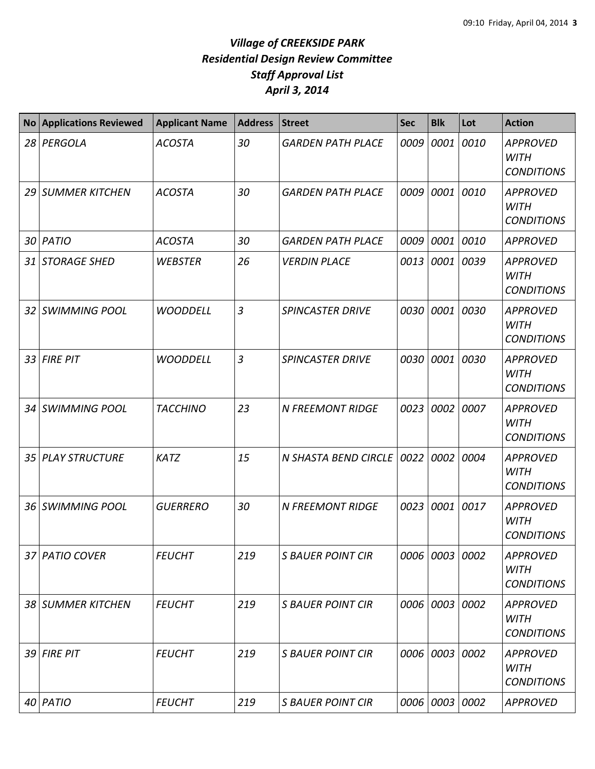| <b>No</b>       | <b>Applications Reviewed</b> | <b>Applicant Name</b> | <b>Address</b> | <b>Street</b>            | <b>Sec</b> | <b>Blk</b>     | Lot  | <b>Action</b>                                       |
|-----------------|------------------------------|-----------------------|----------------|--------------------------|------------|----------------|------|-----------------------------------------------------|
| 28              | PERGOLA                      | <b>ACOSTA</b>         | 30             | <b>GARDEN PATH PLACE</b> | 0009       | 0001           | 0010 | <b>APPROVED</b><br><b>WITH</b><br><b>CONDITIONS</b> |
|                 | 29 SUMMER KITCHEN            | <b>ACOSTA</b>         | 30             | <b>GARDEN PATH PLACE</b> | 0009       | 0001           | 0010 | <b>APPROVED</b><br><b>WITH</b><br><b>CONDITIONS</b> |
| 30              | PATIO                        | <b>ACOSTA</b>         | 30             | <b>GARDEN PATH PLACE</b> | 0009       | 0001           | 0010 | <b>APPROVED</b>                                     |
| 31              | <b>STORAGE SHED</b>          | <b>WEBSTER</b>        | 26             | <b>VERDIN PLACE</b>      | 0013       | 0001           | 0039 | <b>APPROVED</b><br><b>WITH</b><br><b>CONDITIONS</b> |
|                 | 32 SWIMMING POOL             | <b>WOODDELL</b>       | $\overline{3}$ | <b>SPINCASTER DRIVE</b>  | 0030       | 0001           | 0030 | <b>APPROVED</b><br><b>WITH</b><br><b>CONDITIONS</b> |
| 33              | <b>FIRE PIT</b>              | <b>WOODDELL</b>       | $\overline{3}$ | <b>SPINCASTER DRIVE</b>  | 0030       | 0001           | 0030 | <b>APPROVED</b><br><b>WITH</b><br><b>CONDITIONS</b> |
| 34              | <b>SWIMMING POOL</b>         | <b>TACCHINO</b>       | 23             | <b>N FREEMONT RIDGE</b>  | 0023       | 0002           | 0007 | <b>APPROVED</b><br><b>WITH</b><br><b>CONDITIONS</b> |
| 35 <sup>1</sup> | <b>PLAY STRUCTURE</b>        | <b>KATZ</b>           | 15             | N SHASTA BEND CIRCLE     | 0022       | 0002           | 0004 | <b>APPROVED</b><br><b>WITH</b><br><b>CONDITIONS</b> |
|                 | 36 SWIMMING POOL             | <b>GUERRERO</b>       | 30             | <b>N FREEMONT RIDGE</b>  | 0023       | 0001           | 0017 | <b>APPROVED</b><br><b>WITH</b><br><b>CONDITIONS</b> |
|                 | 37 PATIO COVER               | <b>FEUCHT</b>         | 219            | <b>S BAUER POINT CIR</b> |            | 0006 0003 0002 |      | <b>APPROVED</b><br><b>WITH</b><br><b>CONDITIONS</b> |
|                 | 38 SUMMER KITCHEN            | <b>FEUCHT</b>         | 219            | <b>S BAUER POINT CIR</b> |            | 0006 0003      | 0002 | <b>APPROVED</b><br><b>WITH</b><br><b>CONDITIONS</b> |
|                 | 39 FIRE PIT                  | <b>FEUCHT</b>         | 219            | <b>S BAUER POINT CIR</b> |            | 0006 0003      | 0002 | <b>APPROVED</b><br><b>WITH</b><br><b>CONDITIONS</b> |
| 40              | PATIO                        | <b>FEUCHT</b>         | 219            | <b>S BAUER POINT CIR</b> |            | 0006 0003 0002 |      | <b>APPROVED</b>                                     |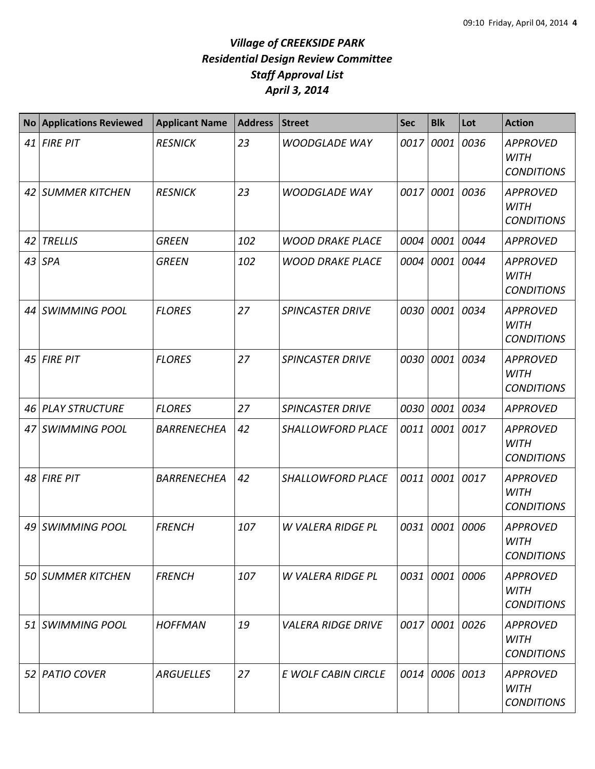| <b>No</b> | <b>Applications Reviewed</b> | <b>Applicant Name</b> | <b>Address</b> | <b>Street</b>             | <b>Sec</b> | <b>Blk</b> | Lot  | <b>Action</b>                                       |
|-----------|------------------------------|-----------------------|----------------|---------------------------|------------|------------|------|-----------------------------------------------------|
| 41        | <b>FIRE PIT</b>              | <b>RESNICK</b>        | 23             | <b>WOODGLADE WAY</b>      | 0017       | 0001       | 0036 | <b>APPROVED</b><br><b>WITH</b><br><b>CONDITIONS</b> |
| 42        | <b>SUMMER KITCHEN</b>        | <b>RESNICK</b>        | 23             | <b>WOODGLADE WAY</b>      | 0017       | 0001       | 0036 | <b>APPROVED</b><br><b>WITH</b><br><b>CONDITIONS</b> |
| 42        | <b>TRELLIS</b>               | <b>GREEN</b>          | 102            | <b>WOOD DRAKE PLACE</b>   | 0004       | 0001       | 0044 | <b>APPROVED</b>                                     |
| 43        | <b>SPA</b>                   | <b>GREEN</b>          | 102            | <b>WOOD DRAKE PLACE</b>   | 0004       | 0001       | 0044 | <b>APPROVED</b><br><b>WITH</b><br><b>CONDITIONS</b> |
|           | 44 SWIMMING POOL             | <b>FLORES</b>         | 27             | <b>SPINCASTER DRIVE</b>   |            | 0030 0001  | 0034 | <b>APPROVED</b><br><b>WITH</b><br><b>CONDITIONS</b> |
| 45        | <b>FIRE PIT</b>              | <b>FLORES</b>         | 27             | <b>SPINCASTER DRIVE</b>   | 0030       | 0001       | 0034 | <b>APPROVED</b><br><b>WITH</b><br><b>CONDITIONS</b> |
| 46        | <b>PLAY STRUCTURE</b>        | <b>FLORES</b>         | 27             | <b>SPINCASTER DRIVE</b>   | 0030       | 0001       | 0034 | <b>APPROVED</b>                                     |
| 47        | <b>SWIMMING POOL</b>         | <b>BARRENECHEA</b>    | 42             | <b>SHALLOWFORD PLACE</b>  | 0011       | 0001       | 0017 | <b>APPROVED</b><br><b>WITH</b><br><b>CONDITIONS</b> |
| 48        | <b>FIRE PIT</b>              | <b>BARRENECHEA</b>    | 42             | SHALLOWFORD PLACE         | 0011       | 0001       | 0017 | <b>APPROVED</b><br><b>WITH</b><br><b>CONDITIONS</b> |
| 49        | <b>SWIMMING POOL</b>         | <b>FRENCH</b>         | 107            | <b>W VALERA RIDGE PL</b>  | 0031       | 0001       | 0006 | <b>APPROVED</b><br><b>WITH</b><br><b>CONDITIONS</b> |
|           | <b>50 SUMMER KITCHEN</b>     | <b>FRENCH</b>         | 107            | W VALERA RIDGE PL         |            | 0031 0001  | 0006 | <b>APPROVED</b><br><b>WITH</b><br><b>CONDITIONS</b> |
|           | 51 SWIMMING POOL             | <b>HOFFMAN</b>        | 19             | <b>VALERA RIDGE DRIVE</b> |            | 0017 0001  | 0026 | <b>APPROVED</b><br><b>WITH</b><br><b>CONDITIONS</b> |
|           | 52 PATIO COVER               | <b>ARGUELLES</b>      | 27             | E WOLF CABIN CIRCLE       |            | 0014 0006  | 0013 | <b>APPROVED</b><br><b>WITH</b><br><b>CONDITIONS</b> |